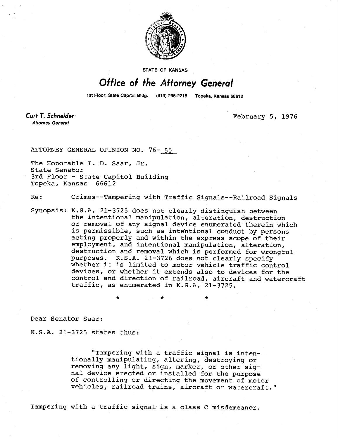

STATE OF KANSAS

## Office of the Attorney General

1st Floor, State Capitol Bldg. (913) 296-2215 Topeka, Kansas 66612

Curt T. Schneider **Attorney General** 

February 5, 1976

ATTORNEY GENERAL OPINION NO. 76- 50

The Honorable T. D. Saar, Jr. State Senator 3rd Floor - State Capitol Building Topeka, Kansas 66612

Re: Crimes--Tampering with Traffic Signals--Railroad Signals

Synopsis: K.S.A. 21-3725 does not clearly distinguish between the intentional manipulation, alteration, destruction or removal of any signal device enumerated therein which is permissible, such as intentional conduct by persons acting properly and within the express scope of their employment, and intentional manipulation, alteration, destruction and removal which is performed for wrongful purposes. K.S.A. 21-3726 does not clearly specify whether it is limited to motor vehicle traffic control devices, or whether it extends also to devices for the control and direction of railroad, aircraft and watercraft traffic, as enumerated in K.S.A. 21-3725.

Dear Senator Saar:

K.S.A. 21-3725 states thus:

"Tampering with a traffic signal is intentionally manipulating, altering, destroying or removing any light, sign, marker, or other signal device erected or installed for the purpose of controlling or directing the movement of motor vehicles, railroad trains, aircraft or watercraft."

Tampering with a traffic signal is a class C misdemeanor.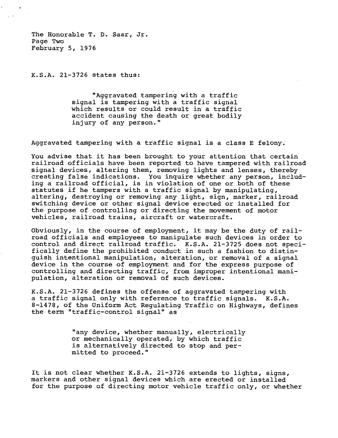The Honorable T. D. Saar, Jr. Page Two February 5, 1976

K.S.A. 21-3726 states thus:

"Aggravated tampering with a traffic signal is tampering with a traffic signal which results or could result in a traffic accident causing the death or great bodily injury of any person."

Aggravated tampering with a traffic signal is a class E felony.

You advise that it has been brought to your attention that certain railroad officials have been reported to have tampered with railroad signal devices, altering them, removing lights and lenses, thereby creating false indications. You inquire whether any person, including a railroad official, is in violation of one or both of these statutes if he tampers with a traffic signal by manipulating, altering, destroying or removing any light, sign, marker, railroad switching device or other signal device erected or installed for the purpose of controlling or directing the movement of motor vehicles, railroad trains, aircraft or watercraft.

Obviously, in the course of employment, it may be the duty of railroad officials and employees to manipulate such devices in order to control and direct railroad traffic. K.S.A. 21-3725 does not specifically define the prohibited conduct in such a fashion to distinguish intentional manipulation, alteration, or removal of a signal device in the course of employment and for the express purpose of controlling and directing traffic, from improper intentional manipulation, alteration or removal of such devices.

K.S.A. 21-3726 defines the offense of aggravated tampering with a traffic signal only with reference to traffic signals. K.S.A. 8-1478, of the Uniform Act Regulating Traffic on Highways, defines the term "traffic-control signal" as

> "any device, whether manually, electrically or mechanically operated, by which traffic is alternatively directed to stop and permitted to proceed."

It is not clear whether K.S.A. 21-3726 extends to lights, signs, markers and other signal devices which are erected or installed for the purpose of directing motor vehicle traffic only, or whether